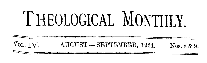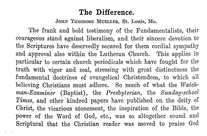## **The Difference.**

JOHN THEODORE MUELLER, St. Louis, Mo.

The frank and bold testimony of the Fundamentalists, their courageous stand against liberalism, and their sincere devotion to the Scriptures have deservedly secured for them cordial sympathy and approval also within the Lutheran Church. This applies in particular to certain church periodicals which have fought for the truth with vigor and zeal, stressing with great distinctness the fundamental doctrines of evangelical Christendom, to which all believing Christians must adhere. So much of what the *Watchman-Examiner* (Baptist), the *Presbyterian,* the *Sunday-school Times,* and other kindred papers have published on the deity of Christ, the vicarious atonement, the inspiration of the Bible, the power of the Word of God, etc., was so altogether sound and Scriptural that the Christian reader was moved to praise God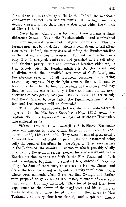for their excellent testimony to the truth. Indeed, the wearisome controversy has not been without fruits. It has led many to a, deeper appreciation of those basic verities upon which the Church of Christ is built.

Nevertheless, after all has been said, there remains a sharp difference between Calvinistic Fundamentalism and confessional Lutheranism,  $-$  a difference not in degree, but in kind. This difference must not be overlooked. Honesty compels one to call attention to it. Indeed, the very desire of aiding the Fundamentalists in their struggle makes it necessary. For truth will be victorious only if it is accepted, confessed, and preached in its full glory and absolute purity. The one paramount blessing which we, as true friends, wish the Fundamentalists is the clear visualizing of divine truth, the unqualified acceptance of God's Word, and the absolute rejection of all erroneous doctrines which erring reason may suggest. May the light come to them as it came to Martin Luther when he fought liberalism in the papacy, and may they, as did he, center all they believe and teach in the great doctrines of *sola gratia, sola fide, sola Scriptura*. It is then only that the difference between Calvinistic Fundamentalism and confessional Lutheranism will be eliminated.

This thought was suggested to the writer by an editorial which appeared in the *Watchman-Examiner* (May, 1924) under the caption "'fruth Is Immortal," the slogan of Balthasar Huebmaier. The editorial reads:  $-$ 

"Martin Luther, 'Ulrich Zwingli, and Balthasar Huebmaier were contemporaries, born within three or four years of each other  $-1483$ , 1484, and 1480. They were all men of great ability, of varied learning, of highly popular gifts, the last-named being fully the equal of the others in these respects. They were leaders in the Reformed Christianity. Huebmaier, who is probably wholly unknown to the general reader, worked his way clearly out to the Baptist position as it is set forth in the New Testament  $-$  faith and repentance, baptism, the spiritual life, individual responsibility, freedom of conscience, no connection between Church and State, the New Testament as the only authority in religious affairs. There were moments when it seemed that Zwingli and Luther were prepared to go as far as Huebmaier, moments of clear spiritual vision. But they hesitated. They feared to cut loose from dependence on the power of the magistrate and his soldiers in times of disorder. They feared to commit themselves to New Testament voluntary church-membership and a spiritual democ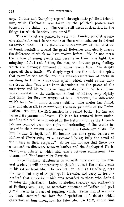racy. Luther and Zwingli prospered through their political friendship, while Huebmaier was taken by the political powers and burned at the stake.... The world still needs instruction in the things for which Baptists have stood."

'rhis editorial was penned by a staunch Fundamentalist, a man who stands foremost in the ranks of those who endeavor to defend evangelical truth. It is therefore representative of the attitude of Fundamentalists toward the great Reformer and clearly marks the difference of which we have spoken before. We do not mean the failure of seeing events and persons in their true light, the mingling of fact and fiction, the bias, the intense party feeling, which are glaringly apparent in almost every line. We deeply regret all these faults. We deeply regret also the unionistic spirit that pervades the article, and the misrepresentation of facts in ascribing to Luther a cowardly spirit, which would rather deny the truth than "cut loose from dependence on the power of the magistrate and his soldiers in times of disorder." With all these misrepresentations the Lutheran student of history may rightly find fault; for they arc simply not true. However, the difference which we have in mind is more subtile. The writer has failed, first and above all, to comprehend the basic principle of the Reformation. To him the Reformation is a scaled book. He has not learned its paramount lesson. He is as far removed from understanding the real issue involved in the Reformation as the Liberalists are removed from the right understanding of the truths involved in their present controversy with the Fundamentalists. To him Luther, Zwingli, and Huebmaier are alike great leaders in Reformed Christianity, "the last-named being fully the equal of the others in these respects." So he did not see that there was a tremendous difference between Luther and the Anabaptist Huebmaier, - a difference which still exists between confessional Lutherans and Fundamentalist Baptists.

Since Balthasar Huebmaier is virtually unknown to the general reader, it will be necessary to sketch at least the main events in his rather brief life. He was born in 1480 at Friedberg, near the prominent city of Augsburg, in Bavaria, and early in his life received that education which was accorded to those who desired to enter the priesthood. Later he studied theology and philosophy at Freiburg with Eck, the notorious opponent of Luther and past grand master in the art of juggling words. From him Huebmaier no doubt acquired the love for disputation and debate which characterized him throughout his later life. In 1512, at the time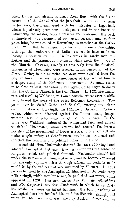when Luther had already returned from Rome with the divine assurance of the Gospel "that the just shall live by faith" ringing in his ears, Hucbmaier went with his instructor to Ingolstadt, where he, already prominent in eloquence and in the knack of influencing the masses, became preacher and professor. His work at Ingolstadt was accompanied with great success; and so, four years later, he was called to Regensburg as preacher at the Cathedral. With Eck he remained on terms of intimate friendship, although the controversies of Luther seemed to have made no lasting impression on him. In his works he rarely mentions Luther and the paramount movement which shook the pillars of the Church. However, already at this early time the fanatical tendencies of Huebmaier were revealed in his persecution of the Jews. Owing to his agitation the Jews were expelled from the city by force. Perhaps the consequences of this act led him to a deeper study of the Reformation movement. So much seems to be clear at least, that already at Regensburg he began to doubt that the Catholic Church is the true Church. In 1521 Huebmaier received a call to Waldshut, in Lower Austria, where after a while he embraced the views of the Swiss Reformed theologians. Two years later he visited Zurich and St. Gall, entering into closer communication with Zwingli. In 1524 he published his *Schlussreden,* which were directed against the Romish mass, imageworship, fasting, pilgrimages, purgatory, and celibacy. In the same year Waldshut embraced the evangelical faith and agreed to defend Huebmaier, whose actions had aroused the intense hostility of the government of Lower Austria. For a while Huebmaier sought refuge at Schaffhausen, but he soon returned and directed the religious and political policy of the city.

About this time Huebmaier deserted the cause of Zwingli and adopted Anabaptist doctrines. Soon Waldshut was the center of religious, social, and political ferment. Huebmaier himself fell under the influence of Thomas Muenzer, and he became convinced that the only way in which a thorough reformation could be made would be by the radical methods suggested by Muenzer. In 1525 he was baptized by the Anabaptist Reublin, and in the controversy with Zwingli, which soon broke out, he published two works, which appeared in 1526: Von dem christlichen Tauf der Glaeubigen and *Ein Gespraech von dem Kindertauf*, in which he set forth his Anabaptist views on infant baptism. His bold preaching of Anabaptist doctrines involved him in difficulties with Zwingli, and when, in 1525, Waldshut was taken by Austrian forces and the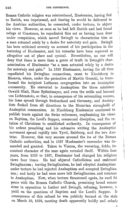## 246 THE DIFFERENCE.

Roman Catholic religion was reintroduced, Huebmaier, having fled to Zurich, was imprisoned, and fearing he would be delivered to the Austrian authorities, he consented, under torture, to abjure his views. However, as soon as he had left Zurich and had found refuge at Constance, he repudiated this act as having been done under compulsion, which moved Zwingli to characterize him as a man actuated solely by a desire for notoriety and gain. Zwingli has been criticised severely on account of his participation in the torturing of Huebmaier, and his remarks have been reproved as altogether out of place and cynical. Nevertheless, no one will deny that there is more than a grain of truth in Zwingli's characterization of Huebmaier "as a man actuated solely by a desire for notoriety and gain." In 1526 Huebmaier, having for all time repudiated his Zwinglian connections, came to Nicolsburg in Moravia, where, under the protection of Martin Goeschl, he transformed the incipient Lutheran congregation into an Anabaptist community. He converted to Anabaptism the three ministers Oswald Glait, Hans Spittelmayer, and even the noble and learned von Lichtenstein, so that, in consequence of his astounding success, his fame spread through Switzerland and Germany, and Anabaptists flocked from all directions to the Moravian stronghold of Anabaptist communism. At Nicolsburg Huebmaier continued to publish tracts against the Swiss reformers, emphasizing his views on Baptism, the Lord's Supper, communal discipline, and the re· lation of Christians to established authority. In consequence of his ardent preaching and his extensive writing the Anabaptist movement spread rapidly into Tyrol, Salzburg, and the two Aus-<br>trias. However, this very success aroused the ire of the Roman However, this very success aroused the ire of the Roman Catholic authorities, and in 1527 Huebmaier's surrender was demanded and granted. Taken to Vienna, the wavering, fickle, inconstant character of the man again revealed itself. Within four years, from 1523 to 1527, Huebmaier had changed his religious views four times. He had abjured Catholicism and embraced Zwinglianism; leaving Zwinglianism, he had adopted Anabaptism under torture he had rejected Anabaptism and accepted Zwinglian: ism; and lastly he had once more left Zwinglianism and returner to Anabaptism. Now, when torture threatened again, he sued fol peace with the Roman Catholic Church, promising broad conces sions in opposition to Luther and Zwingli, refusing, however, tyield on the questions of Baptism and the Lord's Supper. Io consequence of this refusal he was publicly burned at the stah on March 10, 1528, meeting death apparently boldly and calmle

f•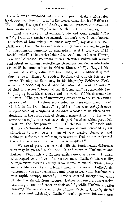His wife was imprisoned with him and put to death a little later by drowning. Such, in brief, is the biographical sketch of Balthasar Huebmaier, the apostle of Anabaptism, the greatest champion of their views, and the only learned scholar in this radical sect.

That the views on Huebmaier's life and work should differ widely from one another is natural. Luther's view is well known. He writes of him briefly: "I know very well, my dear sirs, that Balthasar Huebmohr has expressly and by name referred to me in his blasphemous pamphlet on Anabaptism, as if I, too, were of his foolish mind" ("Ieh weiss leider fast wohl, meine lichen Herren, dass der Balthasar Huebmohr mich auch unter andern mit Namen einfuehret in seinem laesterlichen Buechlein von der Wiedertaufe. als sollt' ich auch seines toerichten Sinnes sein"). Baptist historians, as a rule, value him too highly, as the editorial quoted above shows. Henry C. Vedder, Professor of Church History in Crozer Theological Seminary, in his biography *Balthasar Huebmaier, the Leader of the Anabaptists,* which is one of the volumes of that fine series "Heroes of the Reformation," is reasonably fair in judging both his character and his work. 0£ his character he remarks: "'l'he praise of unswerving constancy to the truth cannot be awarded him. Huebmaier's conduct in these closing months of his life is far from heroic." (p. 236.) The *New Schaff-Herzog Encyclopedia of Religious Knowledge* records: "His place is undeniably in the front rank of German Anabaptists. . . . He represents the simple, conservative Anabaptist doctrine, which grounded itself on the Scriptures"; *s. v.* Huebmaier. MeClintock and Strong's *Cyclopedia* states: "Huebmayer is now conceded by all historians to have been a man of very exalted character, and although a fanatic in religion, it is certain that he never favored the extreme views of some of the Anabaptists."

We are at present concerned with the fundamental difference that may be pointed out in the life and views of Huebmaier and Luther. That such a difference exists cannot be denied. It exists with regard to the lives of these two men. Luther's life was like a huge river, flowing calmly from source to mouth, while Huebmaier's life was like a turbulent mountain stream. Luther's development was slow, constant, and progressive, while Huebmaier's was rapid, abrupt, unsteady. Luther coveted martyrdom, while Huebmaier shrank from torture. Luther remained a conservative, Truebinaler sirrank from torture. Luther remained a conservative,<br>retaining a sane and sober outlook on life, while Huebmaier, after severing his relations with the Roman Catholic Church, drifted aimlessly and helplessly. Luther's teachings were intensely prac/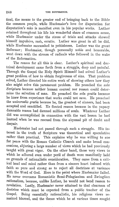tical, the means to the greater end of bringing back to the Bible the common people, while Huebmaier's love for disputation for disputation's sake is manifest even in his popular works. Luther retained throughout his life his wonderful share of common sense, while Huebmaier under the stress of trials and attacks showed himself impulsive, rash, erratic. Luther was great in all he did, while Huebmaier succumbed to pettishness. Luther was the great Reformer; Huebmaier, though personally noble and honorable, went down with the stream of radicals who followed in the wake of the Reformation.

The *reason* for all this is clear. Luther's spiritual and doctrinal development came forth from a struggle, deep and painful. Through the Gospel the Holy Spirit Himself had solved Luther's great problem of how to obtain forgiveness of sins. 'l'hat problem solved, Luther directed his entire work of showing others how they also might solve this paramount problem. He preached the *sola Scriptura* because neither human' counsel nor reason could determine the salvation of man. He preached the *sola gratia* because he knew from experience that works could not save. He preached the *universalis gratia* because he, the greatest of sinners, had been accepted and sanctified. He flouted reason because in the papacy damnable reason had damned millions of souls. Whatever Luther did was accomplished in connection with the vast lesson he had learned when he was rescued from the abysmal pit of doubt and despair.

Huebmaier had not passed through such a struggle. His interest in the truth of Scripture was theoretical and speculative rather than practical. This explains why he was willing to sue for peace with the Roman Catholic Church and make broad concessions, abjuring a large number of views which he had previously taught with great vigor. On the other hand, those very views to which he adhered even under peril of death were manifestly held on grounds of rationalistic consideration. They came from a critical head and mind rather than from a sincere heart imbued with faith so pure and strong as to reject all doctrines at variance with the Word of God. Here is the point where Huebmaier failed. He never overcame Romanistic Semi-Pelagianism and Zwinglian rationalism, because, unlike Luther, he would not bend reason to revelation. Lastly, Huebmaier never attained to that clearness of doctrine which must be expected from a public teacher of the Gospel. Being essentially rationalistic, his religious views remained blurred, and the theses which he at various times sought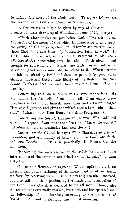to defend fell short of the whole truth. These, we believe, are the predominant faults of Huebmaier's theology.

A few examples might be given by way of illustration. In a series of theses drawn up at Waldshut in June,  $1525$ , he says: -

"Faith alone makes us just before God. 'l'his faith is the *knowledge* of the mercy of God which He manifested to us through the giving of His only-begotten Son. Thereby are overthrown all sham Christians, who have only 'a historical faith' in God." In 1528, while imprisoned, in his formal statement of his beliefs *(Rechenschaft)* concerning faith he said: "Faith alone is not enough for salvation.  $\ldots$  Since mere faith does not suffice for salvation, good works must also be added to it. Whoso permits his faith to stand by itself and does not prove it by good works changes Christian liberty into liberty of the flesh." This condemns Luther's doctrine and champions the Roman Catholic teaching.

Concerning *free will* he writes in the same connection: "He who denies the free will of men and calls it an empty claim (Luther) is nothing in himself, nicknames God a tyrant, charges Him with injustice, and gives the wicked excuse to remain in their sins." (This is more than Romanistic Semi-Pelagianism).

Concerning the *Gospel*, Huebmaier declares: "To avoid evil works and repent of our sins is the doctrine of the whole Gospel." (Huebmaier here intermingles Law and Gospel.)

Concerning the *Church* he says: "The Church is an *external assembling* and community of believers in one Lord, one faith, and one Baptism." (This is practically the Roman Catholic definition.)

Concerning the *intercessions of the saints* he states: "'l'he intercessions of the saints in our behalf are not in vain." (Roman Catholic.)

Concerning *Baptism* he argues: "Water baptism ... is an external and public testimony of the inward baptism of the Spirit, set forth by receiving water. By this not only are sins confessed, but also faith in their pardon, by the death and resurrection of our Lord Jesus Christ, is declared before all men. Hereby also the recipient is externally marked, inscribed, and incorporated into the fellowship of the churches, according to the ordinance of Christ." (A blend of Zwinglianism and Muenzerism.)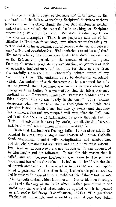In accord with this lack of clearness and definiteness, on the one hand, and the failure of teaching Scriptural doctrines without perversions, on the other, stands the fact that Huebmaier neither understood nor valued the central, basic teaching of Scripture concerning justification by faith. Professor Vedder rightly remarks in his biography: "There is no [express] mention of justification in Huebmaier's writings, even where we might fairly expect to find it, in his catechism, and of course no distinction between *justification* and *sanctification*. This omission cannot be explained like many others; the importance that these doctrines assumed in the Reformation period, and the amount of attention given them by all writers, preclude any explanation, on grounds of lack of necessity, inadvertence, and the like, for their absence from the carefully elaborated and deliberately printed works of any man of the time. The omission must be deliberate, calculated, wilful. An omission of such character can be accounted for only on one ground, that Huebmaier was anxious to mark clearly his divergence from Luther in some matters that the latter reckoned cardinal in the Protestant theology." Professor Vedder adds to this: "Beyond this we are utterly in the dark." This darkness disappears when we consider that a theologian who holds that salvation is not by faith alone, but also by works, and that man has retained a free and uncorrupted will even after the Fall, cannot teach the doctrine of justification by grace through faith in Christ. If salvation is partly by works, the distinction between justification and sanctification must of necessity fall.

With that Huebmaier's theology falls. It was after all, in its essential features, only a slight modification of Roman Catholic Semi-Pelagianism, blended with Zwinglianism and Anabaptism, and the whole man-raised structure was built upon crass rationalism. Neither the *sola Scripfara* nor the *sola gratia* was understood by Huebmaier and his followers. It was for this reason that it failed, and not "because Huebmaier was taken by the political powers and burned at the stake." It had not in itself the stamina of growth and victory. It perished as soon as the man who sponsored it perished. On the other hand, Luther's Gospel succeeded, not because it "prospered through political friendship," but because it is the truth divine, which is immortal. Not to his own theology, but to the theology of the Bible which Luther proclaimed to the world may the words of Huebmaier be applied which he penned in *Die ander Erbietung* (Schaffhausen, 1524): "Die goettliche Warheit ist untoedlich, und wiewohl sy sich ettwan lang fahen